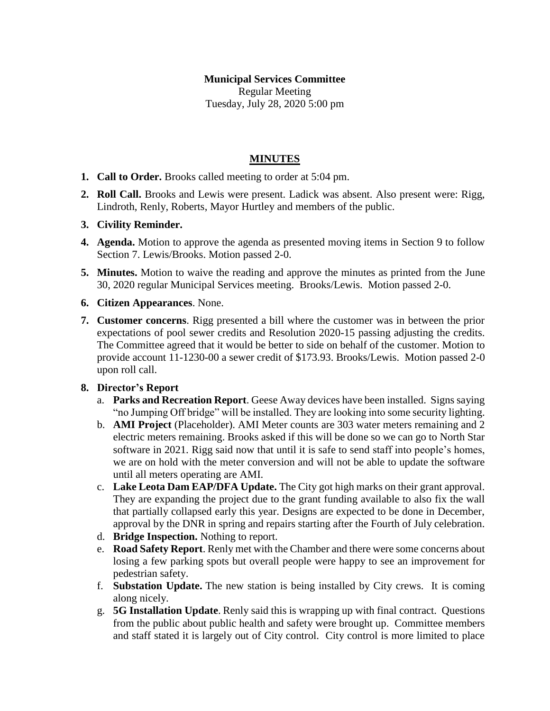# **Municipal Services Committee** Regular Meeting Tuesday, July 28, 2020 5:00 pm

## **MINUTES**

- **1. Call to Order.** Brooks called meeting to order at 5:04 pm.
- **2. Roll Call.** Brooks and Lewis were present. Ladick was absent. Also present were: Rigg, Lindroth, Renly, Roberts, Mayor Hurtley and members of the public.
- **3. Civility Reminder.**
- **4. Agenda.** Motion to approve the agenda as presented moving items in Section 9 to follow Section 7. Lewis/Brooks. Motion passed 2-0.
- **5. Minutes.** Motion to waive the reading and approve the minutes as printed from the June 30, 2020 regular Municipal Services meeting. Brooks/Lewis. Motion passed 2-0.
- **6. Citizen Appearances**. None.
- **7. Customer concerns**. Rigg presented a bill where the customer was in between the prior expectations of pool sewer credits and Resolution 2020-15 passing adjusting the credits. The Committee agreed that it would be better to side on behalf of the customer. Motion to provide account 11-1230-00 a sewer credit of \$173.93. Brooks/Lewis. Motion passed 2-0 upon roll call.

### **8. Director's Report**

- a. **Parks and Recreation Report**. Geese Away devices have been installed. Signs saying "no Jumping Off bridge" will be installed. They are looking into some security lighting.
- b. **AMI Project** (Placeholder). AMI Meter counts are 303 water meters remaining and 2 electric meters remaining. Brooks asked if this will be done so we can go to North Star software in 2021. Rigg said now that until it is safe to send staff into people's homes, we are on hold with the meter conversion and will not be able to update the software until all meters operating are AMI.
- c. **Lake Leota Dam EAP/DFA Update.** The City got high marks on their grant approval. They are expanding the project due to the grant funding available to also fix the wall that partially collapsed early this year. Designs are expected to be done in December, approval by the DNR in spring and repairs starting after the Fourth of July celebration.
- d. **Bridge Inspection.** Nothing to report.
- e. **Road Safety Report**. Renly met with the Chamber and there were some concerns about losing a few parking spots but overall people were happy to see an improvement for pedestrian safety.
- f. **Substation Update.** The new station is being installed by City crews. It is coming along nicely.
- g. **5G Installation Update**. Renly said this is wrapping up with final contract. Questions from the public about public health and safety were brought up. Committee members and staff stated it is largely out of City control. City control is more limited to place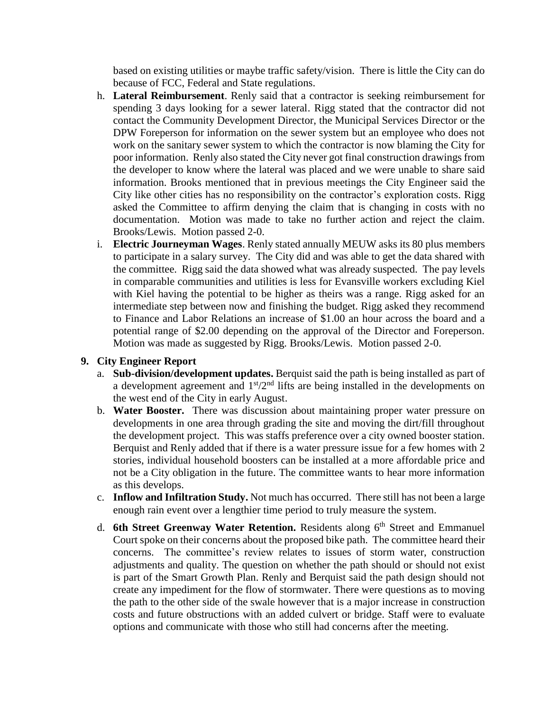based on existing utilities or maybe traffic safety/vision. There is little the City can do because of FCC, Federal and State regulations.

- h. **Lateral Reimbursement**. Renly said that a contractor is seeking reimbursement for spending 3 days looking for a sewer lateral. Rigg stated that the contractor did not contact the Community Development Director, the Municipal Services Director or the DPW Foreperson for information on the sewer system but an employee who does not work on the sanitary sewer system to which the contractor is now blaming the City for poor information. Renly also stated the City never got final construction drawings from the developer to know where the lateral was placed and we were unable to share said information. Brooks mentioned that in previous meetings the City Engineer said the City like other cities has no responsibility on the contractor's exploration costs. Rigg asked the Committee to affirm denying the claim that is changing in costs with no documentation. Motion was made to take no further action and reject the claim. Brooks/Lewis. Motion passed 2-0.
- i. **Electric Journeyman Wages**. Renly stated annually MEUW asks its 80 plus members to participate in a salary survey. The City did and was able to get the data shared with the committee. Rigg said the data showed what was already suspected. The pay levels in comparable communities and utilities is less for Evansville workers excluding Kiel with Kiel having the potential to be higher as theirs was a range. Rigg asked for an intermediate step between now and finishing the budget. Rigg asked they recommend to Finance and Labor Relations an increase of \$1.00 an hour across the board and a potential range of \$2.00 depending on the approval of the Director and Foreperson. Motion was made as suggested by Rigg. Brooks/Lewis. Motion passed 2-0.

### **9. City Engineer Report**

- a. **Sub-division/development updates.** Berquist said the path is being installed as part of a development agreement and  $1<sup>st</sup>/2<sup>nd</sup>$  lifts are being installed in the developments on the west end of the City in early August.
- b. **Water Booster.** There was discussion about maintaining proper water pressure on developments in one area through grading the site and moving the dirt/fill throughout the development project. This was staffs preference over a city owned booster station. Berquist and Renly added that if there is a water pressure issue for a few homes with 2 stories, individual household boosters can be installed at a more affordable price and not be a City obligation in the future. The committee wants to hear more information as this develops.
- c. **Inflow and Infiltration Study.** Not much has occurred. There still has not been a large enough rain event over a lengthier time period to truly measure the system.
- d. **6th Street Greenway Water Retention.** Residents along 6<sup>th</sup> Street and Emmanuel Court spoke on their concerns about the proposed bike path. The committee heard their concerns. The committee's review relates to issues of storm water, construction adjustments and quality. The question on whether the path should or should not exist is part of the Smart Growth Plan. Renly and Berquist said the path design should not create any impediment for the flow of stormwater. There were questions as to moving the path to the other side of the swale however that is a major increase in construction costs and future obstructions with an added culvert or bridge. Staff were to evaluate options and communicate with those who still had concerns after the meeting.